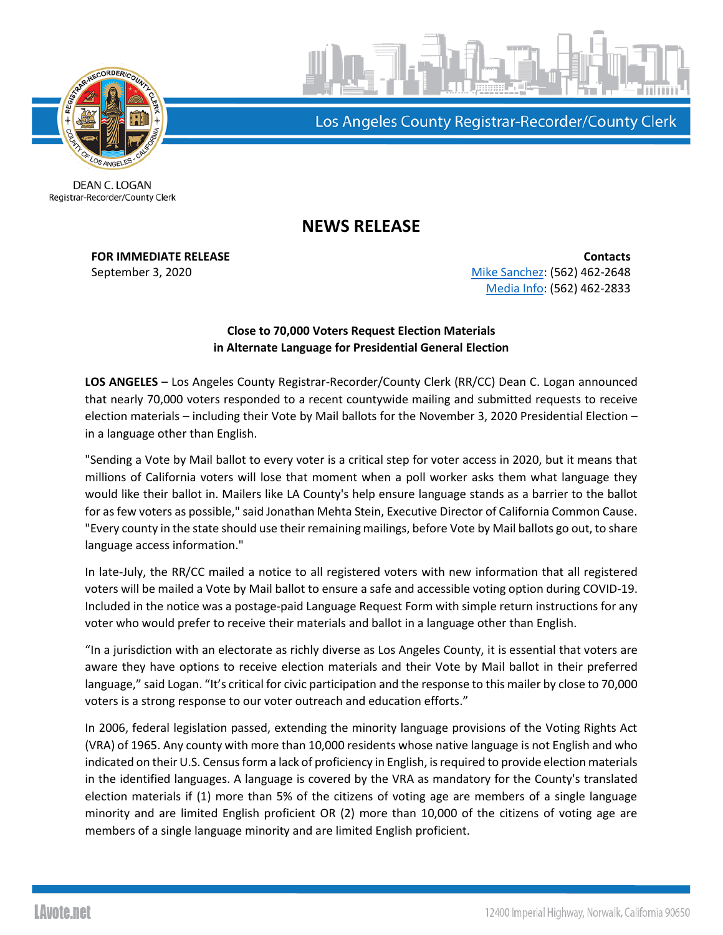

Los Angeles County Registrar-Recorder/County Clerk

**DEAN C. LOGAN** Registrar-Recorder/County Clerk

## **NEWS RELEASE**

**FOR IMMEDIATE RELEASE Contacts** September 3, 2020 **[Mike Sanchez:](mailto:msanchez@rrcc.lacounty.gov) (562) 462-2648** [Media Info:](mailto:MediaInfo@rrcc.lacounty.gov) (562) 462-2833

## **Close to 70,000 Voters Request Election Materials in Alternate Language for Presidential General Election**

**LOS ANGELES** – Los Angeles County Registrar-Recorder/County Clerk (RR/CC) Dean C. Logan announced that nearly 70,000 voters responded to a recent countywide mailing and submitted requests to receive election materials – including their Vote by Mail ballots for the November 3, 2020 Presidential Election – in a language other than English.

"Sending a Vote by Mail ballot to every voter is a critical step for voter access in 2020, but it means that millions of California voters will lose that moment when a poll worker asks them what language they would like their ballot in. Mailers like LA County's help ensure language stands as a barrier to the ballot for as few voters as possible," said Jonathan Mehta Stein, Executive Director of California Common Cause. "Every county in the state should use their remaining mailings, before Vote by Mail ballots go out, to share language access information."

In late-July, the RR/CC mailed a notice to all registered voters with new information that all registered voters will be mailed a Vote by Mail ballot to ensure a safe and accessible voting option during COVID-19. Included in the notice was a postage-paid Language Request Form with simple return instructions for any voter who would prefer to receive their materials and ballot in a language other than English.

"In a jurisdiction with an electorate as richly diverse as Los Angeles County, it is essential that voters are aware they have options to receive election materials and their Vote by Mail ballot in their preferred language," said Logan. "It's critical for civic participation and the response to this mailer by close to 70,000 voters is a strong response to our voter outreach and education efforts."

In 2006, federal legislation passed, extending the minority language provisions of the Voting Rights Act (VRA) of 1965. Any county with more than 10,000 residents whose native language is not English and who indicated on their U.S. Census form a lack of proficiency in English, is required to provide election materials in the identified languages. A language is covered by the VRA as mandatory for the County's translated election materials if (1) more than 5% of the citizens of voting age are members of a single language minority and are limited English proficient OR (2) more than 10,000 of the citizens of voting age are members of a single language minority and are limited English proficient.